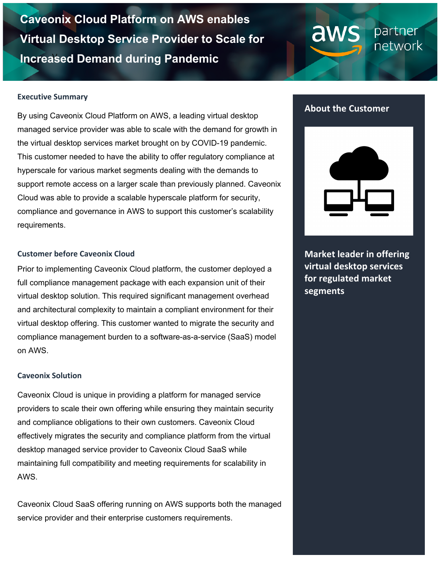**Increased Demand during Pandemic Caveonix Cloud Platform on AWS enables Virtual Desktop Service Provider to Scale for** 

# partner network

#### **Executive Summary**

By using Caveonix Cloud Platform on AWS, a leading virtual desktop managed service provider was able to scale with the demand for growth in the virtual desktop services market brought on by COVID-19 pandemic. This customer needed to have the ability to offer regulatory compliance at hyperscale for various market segments dealing with the demands to support remote access on a larger scale than previously planned. Caveonix Cloud was able to provide a scalable hyperscale platform for security, compliance and governance in AWS to support this customer's scalability requirements.

#### **Customer before Caveonix Cloud**

Prior to implementing Caveonix Cloud platform, the customer deployed a full compliance management package with each expansion unit of their virtual desktop solution. This required significant management overhead and architectural complexity to maintain a compliant environment for their virtual desktop offering. This customer wanted to migrate the security and compliance management burden to a software-as-a-service (SaaS) model on AWS.

### **Caveonix Solution**

Caveonix Cloud is unique in providing a platform for managed service providers to scale their own offering while ensuring they maintain security and compliance obligations to their own customers. Caveonix Cloud effectively migrates the security and compliance platform from the virtual desktop managed service provider to Caveonix Cloud SaaS while maintaining full compatibility and meeting requirements for scalability in AWS.

Caveonix Cloud SaaS offering running on AWS supports both the managed service provider and their enterprise customers requirements.

## **About the Customer**

aws



**Market leader in offering virtual desktop services for regulated market segments**